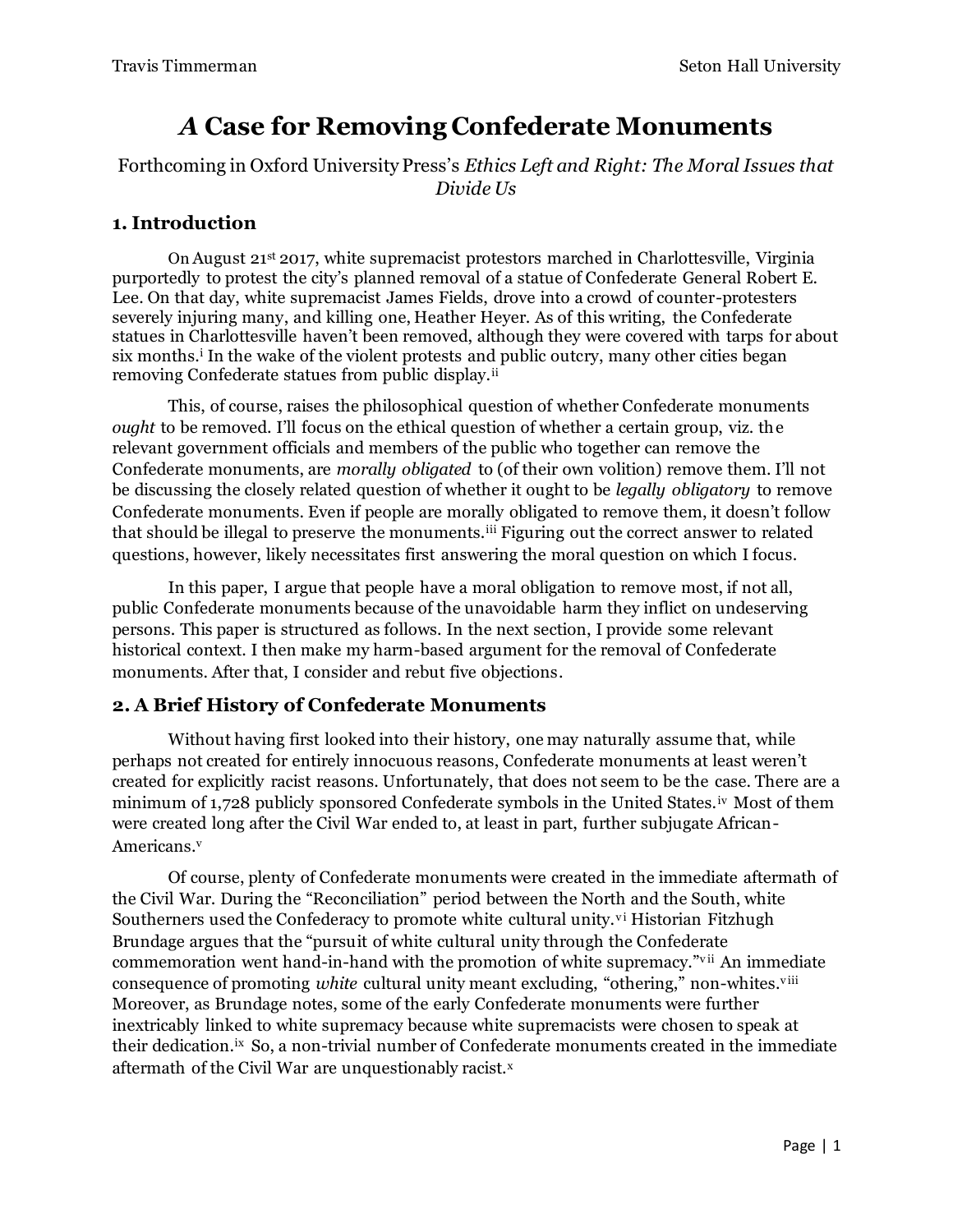# *A* **Case for Removing Confederate Monuments**

Forthcoming in Oxford University Press's *Ethics Left and Right: The Moral Issues that Divide Us*

# **1. Introduction**

On August 21st 2017, white supremacist protestors marched in Charlottesville, Virginia purportedly to protest the city's planned removal of a statue of Confederate General Robert E. Lee. On that day, white supremacist James Fields, drove into a crowd of counter-protesters severely injuring many, and killing one, Heather Heyer. As of this writing, the Confederate statues in Charlottesville haven't been removed, although they were covered with tarps for about six months.<sup>i</sup> In the wake of the violent protests and public outcry, many other cities began removing Confederate statues from public display.<sup>ii</sup>

This, of course, raises the philosophical question of whether Confederate monuments *ought* to be removed. I'll focus on the ethical question of whether a certain group, viz. the relevant government officials and members of the public who together can remove the Confederate monuments, are *morally obligated* to (of their own volition) remove them. I'll not be discussing the closely related question of whether it ought to be *legally obligatory* to remove Confederate monuments. Even if people are morally obligated to remove them, it doesn't follow that should be illegal to preserve the monuments.iii Figuring out the correct answer to related questions, however, likely necessitates first answering the moral question on which I focus.

In this paper, I argue that people have a moral obligation to remove most, if not all, public Confederate monuments because of the unavoidable harm they inflict on undeserving persons. This paper is structured as follows. In the next section, I provide some relevant historical context. I then make my harm-based argument for the removal of Confederate monuments. After that, I consider and rebut five objections.

# **2. A Brief History of Confederate Monuments**

Without having first looked into their history, one may naturally assume that, while perhaps not created for entirely innocuous reasons, Confederate monuments at least weren't created for explicitly racist reasons. Unfortunately, that does not seem to be the case. There are a minimum of 1,728 publicly sponsored Confederate symbols in the United States.iv Most of them were created long after the Civil War ended to, at least in part, further subjugate African-Americans.<sup>v</sup>

Of course, plenty of Confederate monuments were created in the immediate aftermath of the Civil War. During the "Reconciliation" period between the North and the South, white Southerners used the Confederacy to promote white cultural unity.<sup>vi</sup> Historian Fitzhugh Brundage argues that the "pursuit of white cultural unity through the Confederate commemoration went hand-in-hand with the promotion of white supremacy."vii An immediate consequence of promoting *white* cultural unity meant excluding, "othering," non-whites.<sup>viii</sup> Moreover, as Brundage notes, some of the early Confederate monuments were further inextricably linked to white supremacy because white supremacists were chosen to speak at their dedication.ix So, a non-trivial number of Confederate monuments created in the immediate aftermath of the Civil War are unquestionably racist.<sup>x</sup>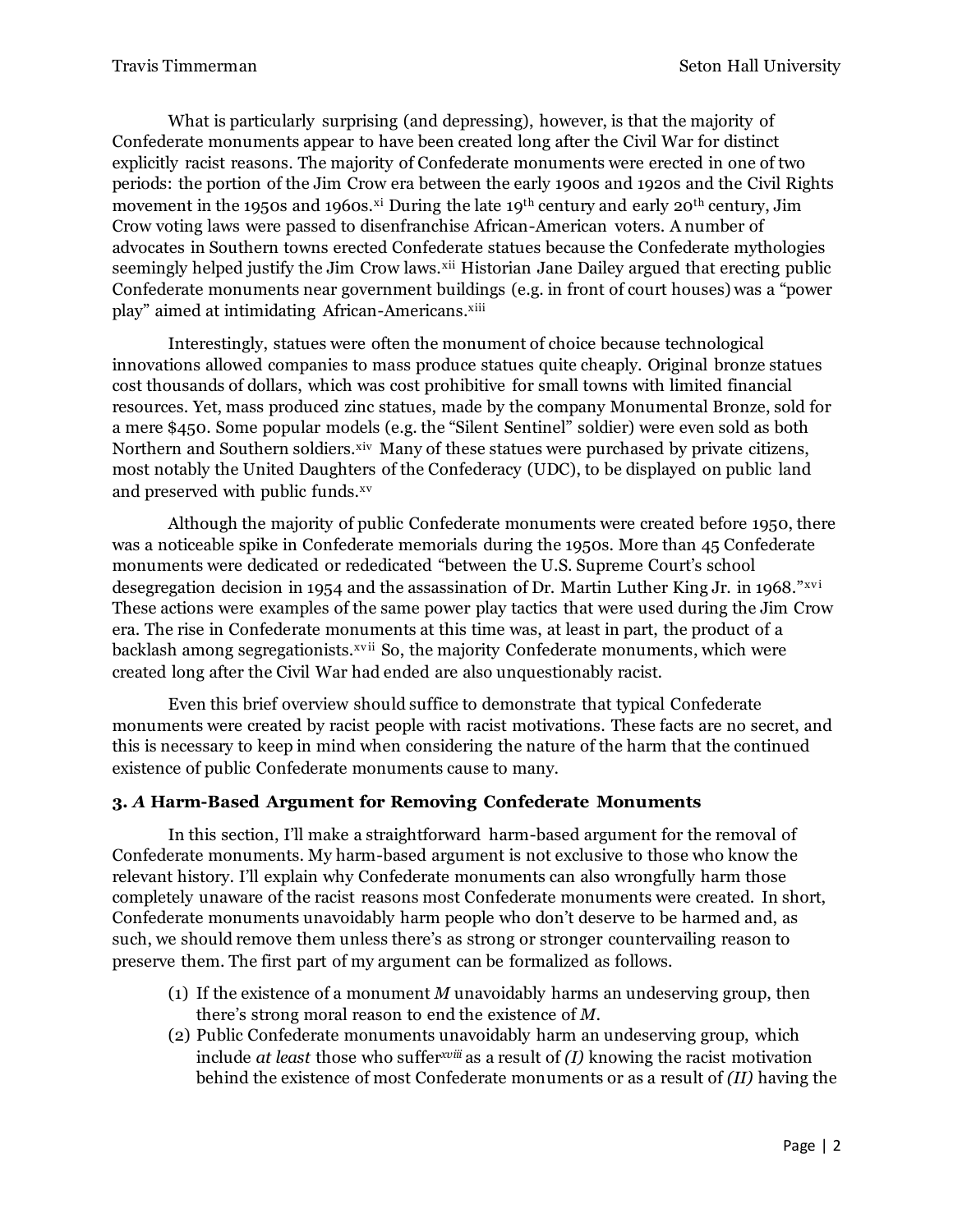What is particularly surprising (and depressing), however, is that the majority of Confederate monuments appear to have been created long after the Civil War for distinct explicitly racist reasons. The majority of Confederate monuments were erected in one of two periods: the portion of the Jim Crow era between the early 1900s and 1920s and the Civil Rights movement in the 1950s and 1960s.<sup>xi</sup> During the late 19<sup>th</sup> century and early 20<sup>th</sup> century, Jim Crow voting laws were passed to disenfranchise African-American voters. A number of advocates in Southern towns erected Confederate statues because the Confederate mythologies seemingly helped justify the Jim Crow laws.<sup>xii</sup> Historian Jane Dailey argued that erecting public Confederate monuments near government buildings (e.g. in front of court houses) was a "power play" aimed at intimidating African-Americans.xiii

Interestingly, statues were often the monument of choice because technological innovations allowed companies to mass produce statues quite cheaply. Original bronze statues cost thousands of dollars, which was cost prohibitive for small towns with limited financial resources. Yet, mass produced zinc statues, made by the company Monumental Bronze, sold for a mere \$450. Some popular models (e.g. the "Silent Sentinel" soldier) were even sold as both Northern and Southern soldiers.<sup>xiv</sup> Many of these statues were purchased by private citizens, most notably the United Daughters of the Confederacy (UDC), to be displayed on public land and preserved with public funds.xv

Although the majority of public Confederate monuments were created before 1950, there was a noticeable spike in Confederate memorials during the 1950s. More than 45 Confederate monuments were dedicated or rededicated "between the U.S. Supreme Court's school desegregation decision in 1954 and the assassination of Dr. Martin Luther King Jr. in 1968." $xvi$ These actions were examples of the same power play tactics that were used during the Jim Crow era. The rise in Confederate monuments at this time was, at least in part, the product of a backlash among segregationists.<sup>xvii</sup> So, the majority Confederate monuments, which were created long after the Civil War had ended are also unquestionably racist.

Even this brief overview should suffice to demonstrate that typical Confederate monuments were created by racist people with racist motivations. These facts are no secret, and this is necessary to keep in mind when considering the nature of the harm that the continued existence of public Confederate monuments cause to many.

## **3.** *A* **Harm-Based Argument for Removing Confederate Monuments**

In this section, I'll make a straightforward harm-based argument for the removal of Confederate monuments. My harm-based argument is not exclusive to those who know the relevant history. I'll explain why Confederate monuments can also wrongfully harm those completely unaware of the racist reasons most Confederate monuments were created. In short, Confederate monuments unavoidably harm people who don't deserve to be harmed and, as such, we should remove them unless there's as strong or stronger countervailing reason to preserve them. The first part of my argument can be formalized as follows.

- (1) If the existence of a monument *M* unavoidably harms an undeserving group, then there's strong moral reason to end the existence of *M*.
- (2) Public Confederate monuments unavoidably harm an undeserving group, which include *at least* those who suffer*xviii* as a result of *(I)* knowing the racist motivation behind the existence of most Confederate monuments or as a result of *(II)* having the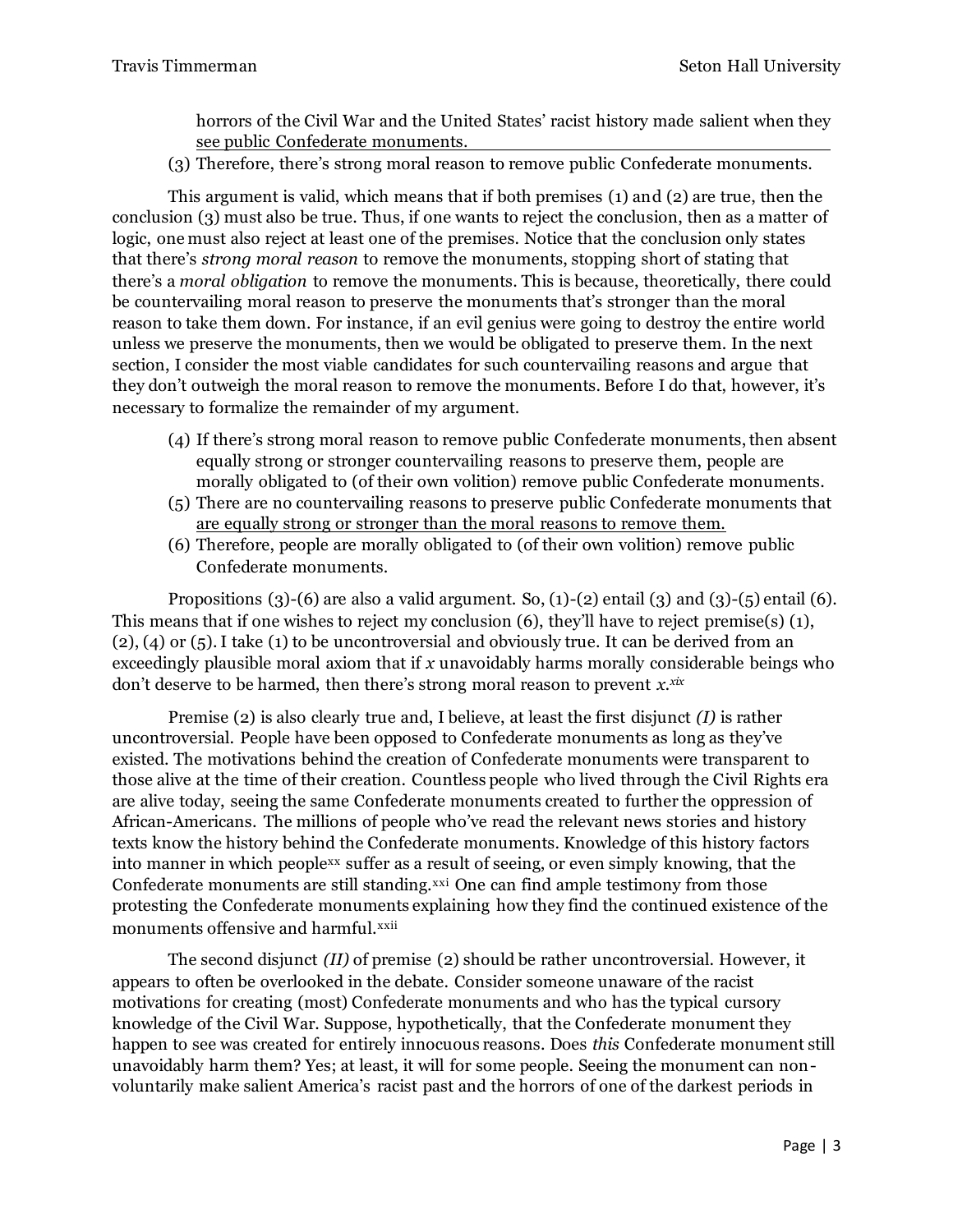horrors of the Civil War and the United States' racist history made salient when they see public Confederate monuments.

(3) Therefore, there's strong moral reason to remove public Confederate monuments.

This argument is valid, which means that if both premises (1) and (2) are true, then the conclusion (3) must also be true. Thus, if one wants to reject the conclusion, then as a matter of logic, one must also reject at least one of the premises. Notice that the conclusion only states that there's *strong moral reason* to remove the monuments, stopping short of stating that there's a *moral obligation* to remove the monuments. This is because, theoretically, there could be countervailing moral reason to preserve the monuments that's stronger than the moral reason to take them down. For instance, if an evil genius were going to destroy the entire world unless we preserve the monuments, then we would be obligated to preserve them. In the next section, I consider the most viable candidates for such countervailing reasons and argue that they don't outweigh the moral reason to remove the monuments. Before I do that, however, it's necessary to formalize the remainder of my argument.

- (4) If there's strong moral reason to remove public Confederate monuments, then absent equally strong or stronger countervailing reasons to preserve them, people are morally obligated to (of their own volition) remove public Confederate monuments.
- (5) There are no countervailing reasons to preserve public Confederate monuments that are equally strong or stronger than the moral reasons to remove them.
- (6) Therefore, people are morally obligated to (of their own volition) remove public Confederate monuments.

Propositions (3)-(6) are also a valid argument. So,  $(1)-(2)$  entail  $(3)$  and  $(3)-(5)$  entail  $(6)$ . This means that if one wishes to reject my conclusion (6), they'll have to reject premise(s) (1), (2), (4) or (5). I take (1) to be uncontroversial and obviously true. It can be derived from an exceedingly plausible moral axiom that if *x* unavoidably harms morally considerable beings who don't deserve to be harmed, then there's strong moral reason to prevent *x. xix*

Premise (2) is also clearly true and, I believe, at least the first disjunct *(I)* is rather uncontroversial. People have been opposed to Confederate monuments as long as they've existed. The motivations behind the creation of Confederate monuments were transparent to those alive at the time of their creation. Countless people who lived through the Civil Rights era are alive today, seeing the same Confederate monuments created to further the oppression of African-Americans. The millions of people who've read the relevant news stories and history texts know the history behind the Confederate monuments. Knowledge of this history factors into manner in which peoplexx suffer as a result of seeing, or even simply knowing, that the Confederate monuments are still standing.<sup>xxi</sup> One can find ample testimony from those protesting the Confederate monuments explaining how they find the continued existence of the monuments offensive and harmful.xxii

The second disjunct *(II)* of premise (2) should be rather uncontroversial. However, it appears to often be overlooked in the debate. Consider someone unaware of the racist motivations for creating (most) Confederate monuments and who has the typical cursory knowledge of the Civil War. Suppose, hypothetically, that the Confederate monument they happen to see was created for entirely innocuous reasons. Does *this* Confederate monument still unavoidably harm them? Yes; at least, it will for some people. Seeing the monument can nonvoluntarily make salient America's racist past and the horrors of one of the darkest periods in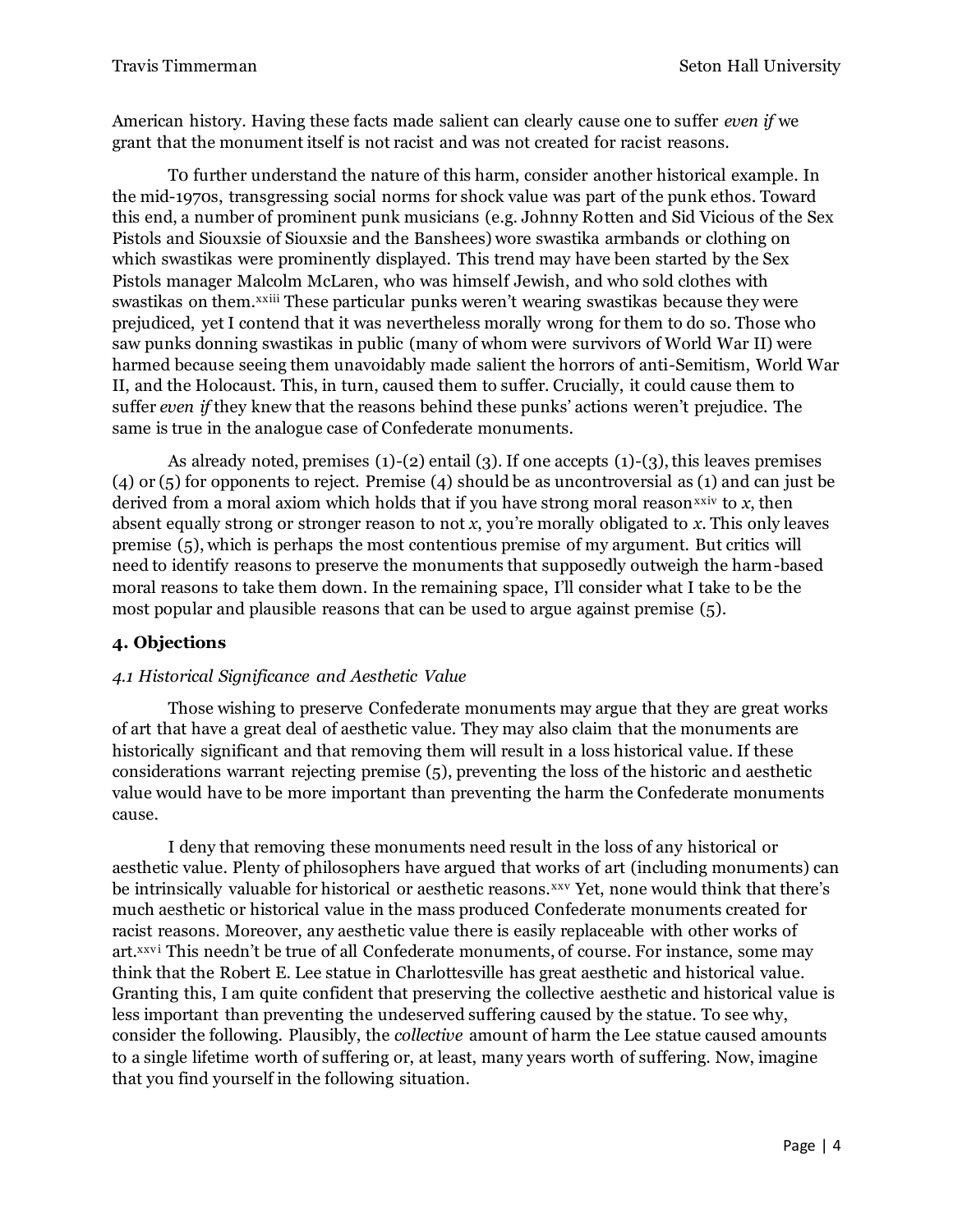American history. Having these facts made salient can clearly cause one to suffer *even if* we grant that the monument itself is not racist and was not created for racist reasons.

T0 further understand the nature of this harm, consider another historical example. In the mid-1970s, transgressing social norms for shock value was part of the punk ethos. Toward this end, a number of prominent punk musicians (e.g. Johnny Rotten and Sid Vicious of the Sex Pistols and Siouxsie of Siouxsie and the Banshees) wore swastika armbands or clothing on which swastikas were prominently displayed. This trend may have been started by the Sex Pistols manager Malcolm McLaren, who was himself Jewish, and who sold clothes with swastikas on them.<sup>xxiii</sup> These particular punks weren't wearing swastikas because they were prejudiced, yet I contend that it was nevertheless morally wrong for them to do so. Those who saw punks donning swastikas in public (many of whom were survivors of World War II) were harmed because seeing them unavoidably made salient the horrors of anti-Semitism, World War II, and the Holocaust. This, in turn, caused them to suffer. Crucially, it could cause them to suffer *even if* they knew that the reasons behind these punks' actions weren't prejudice. The same is true in the analogue case of Confederate monuments.

As already noted, premises  $(1)-(2)$  entail  $(3)$ . If one accepts  $(1)-(3)$ , this leaves premises (4) or (5) for opponents to reject. Premise (4) should be as uncontroversial as (1) and can just be derived from a moral axiom which holds that if you have strong moral reason<sup>xxiv</sup> to  $x$ , then absent equally strong or stronger reason to not *x*, you're morally obligated to *x*. This only leaves premise (5), which is perhaps the most contentious premise of my argument. But critics will need to identify reasons to preserve the monuments that supposedly outweigh the harm-based moral reasons to take them down. In the remaining space, I'll consider what I take to be the most popular and plausible reasons that can be used to argue against premise (5).

# **4. Objections**

## *4.1 Historical Significance and Aesthetic Value*

Those wishing to preserve Confederate monuments may argue that they are great works of art that have a great deal of aesthetic value. They may also claim that the monuments are historically significant and that removing them will result in a loss historical value. If these considerations warrant rejecting premise (5), preventing the loss of the historic and aesthetic value would have to be more important than preventing the harm the Confederate monuments cause.

I deny that removing these monuments need result in the loss of any historical or aesthetic value. Plenty of philosophers have argued that works of art (including monuments) can be intrinsically valuable for historical or aesthetic reasons.<sup>xxv</sup> Yet, none would think that there's much aesthetic or historical value in the mass produced Confederate monuments created for racist reasons. Moreover, any aesthetic value there is easily replaceable with other works of art.<sup>xxvi</sup> This needn't be true of all Confederate monuments, of course. For instance, some may think that the Robert E. Lee statue in Charlottesville has great aesthetic and historical value. Granting this, I am quite confident that preserving the collective aesthetic and historical value is less important than preventing the undeserved suffering caused by the statue. To see why, consider the following. Plausibly, the *collective* amount of harm the Lee statue caused amounts to a single lifetime worth of suffering or, at least, many years worth of suffering. Now, imagine that you find yourself in the following situation.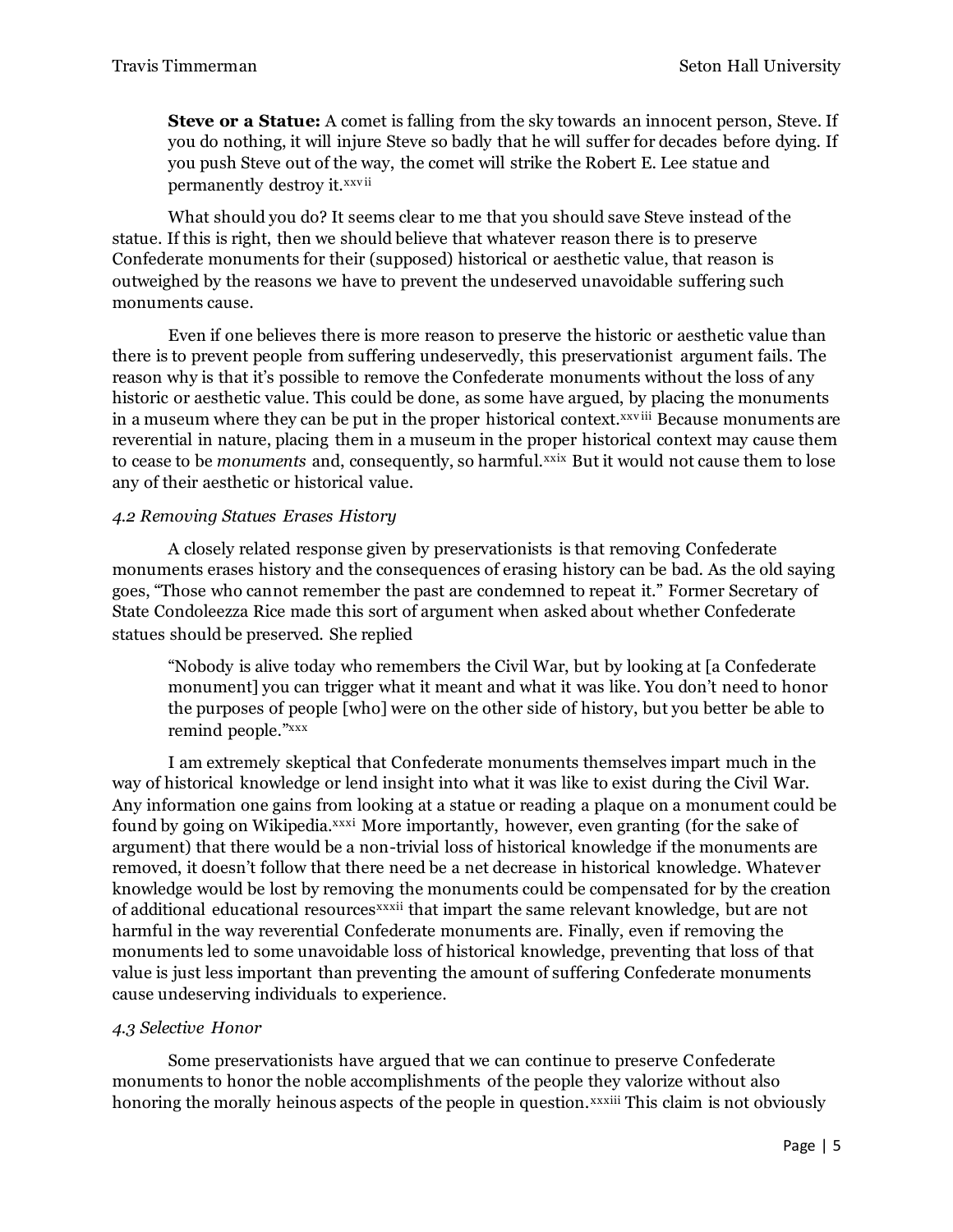**Steve or a Statue:** A comet is falling from the sky towards an innocent person, Steve. If you do nothing, it will injure Steve so badly that he will suffer for decades before dying. If you push Steve out of the way, the comet will strike the Robert E. Lee statue and permanently destroy it.<sup>xxvii</sup>

What should you do? It seems clear to me that you should save Steve instead of the statue. If this is right, then we should believe that whatever reason there is to preserve Confederate monuments for their (supposed) historical or aesthetic value, that reason is outweighed by the reasons we have to prevent the undeserved unavoidable suffering such monuments cause.

Even if one believes there is more reason to preserve the historic or aesthetic value than there is to prevent people from suffering undeservedly, this preservationist argument fails. The reason why is that it's possible to remove the Confederate monuments without the loss of any historic or aesthetic value. This could be done, as some have argued, by placing the monuments in a museum where they can be put in the proper historical context.<sup>xxviii</sup> Because monuments are reverential in nature, placing them in a museum in the proper historical context may cause them to cease to be *monuments* and, consequently, so harmful.xxix But it would not cause them to lose any of their aesthetic or historical value.

#### *4.2 Removing Statues Erases History*

A closely related response given by preservationists is that removing Confederate monuments erases history and the consequences of erasing history can be bad. As the old saying goes, "Those who cannot remember the past are condemned to repeat it." Former Secretary of State Condoleezza Rice made this sort of argument when asked about whether Confederate statues should be preserved. She replied

"Nobody is alive today who remembers the Civil War, but by looking at [a Confederate monument] you can trigger what it meant and what it was like. You don't need to honor the purposes of people [who] were on the other side of history, but you better be able to remind people."xxx

I am extremely skeptical that Confederate monuments themselves impart much in the way of historical knowledge or lend insight into what it was like to exist during the Civil War. Any information one gains from looking at a statue or reading a plaque on a monument could be found by going on Wikipedia.<sup>xxxi</sup> More importantly, however, even granting (for the sake of argument) that there would be a non-trivial loss of historical knowledge if the monuments are removed, it doesn't follow that there need be a net decrease in historical knowledge. Whatever knowledge would be lost by removing the monuments could be compensated for by the creation of additional educational resources<sup>xxxii</sup> that impart the same relevant knowledge, but are not harmful in the way reverential Confederate monuments are. Finally, even if removing the monuments led to some unavoidable loss of historical knowledge, preventing that loss of that value is just less important than preventing the amount of suffering Confederate monuments cause undeserving individuals to experience.

#### *4.3 Selective Honor*

Some preservationists have argued that we can continue to preserve Confederate monuments to honor the noble accomplishments of the people they valorize without also honoring the morally heinous aspects of the people in question.<sup>xxxiii</sup> This claim is not obviously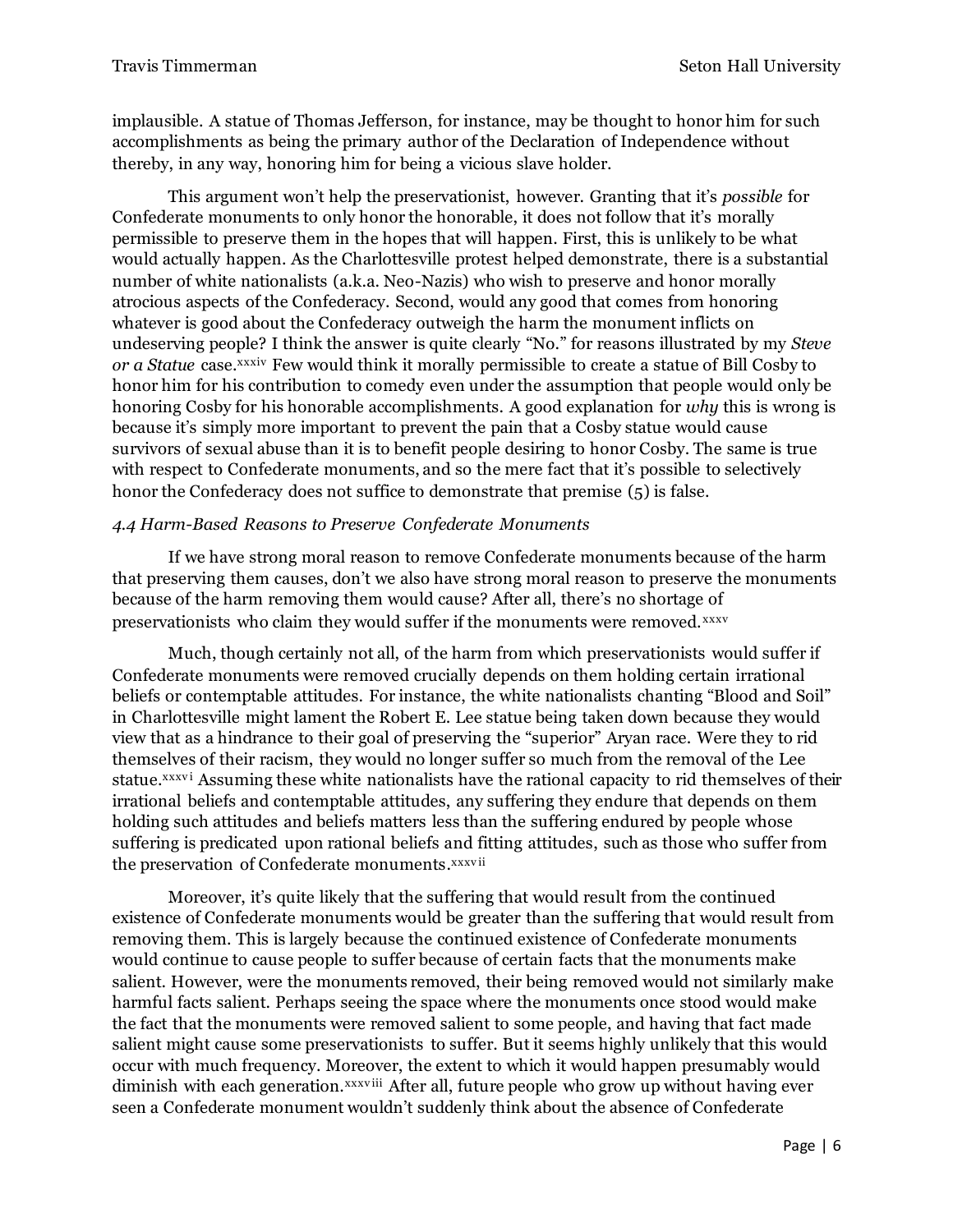implausible. A statue of Thomas Jefferson, for instance, may be thought to honor him for such accomplishments as being the primary author of the Declaration of Independence without thereby, in any way, honoring him for being a vicious slave holder.

This argument won't help the preservationist, however. Granting that it's *possible* for Confederate monuments to only honor the honorable, it does not follow that it's morally permissible to preserve them in the hopes that will happen. First, this is unlikely to be what would actually happen. As the Charlottesville protest helped demonstrate, there is a substantial number of white nationalists (a.k.a. Neo-Nazis) who wish to preserve and honor morally atrocious aspects of the Confederacy. Second, would any good that comes from honoring whatever is good about the Confederacy outweigh the harm the monument inflicts on undeserving people? I think the answer is quite clearly "No." for reasons illustrated by my *Steve or a Statue* case.<sup>xxxiv</sup> Few would think it morally permissible to create a statue of Bill Cosby to honor him for his contribution to comedy even under the assumption that people would only be honoring Cosby for his honorable accomplishments. A good explanation for *why* this is wrong is because it's simply more important to prevent the pain that a Cosby statue would cause survivors of sexual abuse than it is to benefit people desiring to honor Cosby. The same is true with respect to Confederate monuments, and so the mere fact that it's possible to selectively honor the Confederacy does not suffice to demonstrate that premise  $(5)$  is false.

## *4.4 Harm-Based Reasons to Preserve Confederate Monuments*

If we have strong moral reason to remove Confederate monuments because of the harm that preserving them causes, don't we also have strong moral reason to preserve the monuments because of the harm removing them would cause? After all, there's no shortage of preservationists who claim they would suffer if the monuments were removed. xxxv

Much, though certainly not all, of the harm from which preservationists would suffer if Confederate monuments were removed crucially depends on them holding certain irrational beliefs or contemptable attitudes. For instance, the white nationalists chanting "Blood and Soil" in Charlottesville might lament the Robert E. Lee statue being taken down because they would view that as a hindrance to their goal of preserving the "superior" Aryan race. Were they to rid themselves of their racism, they would no longer suffer so much from the removal of the Lee statue.<sup>xxxvi</sup> Assuming these white nationalists have the rational capacity to rid themselves of their irrational beliefs and contemptable attitudes, any suffering they endure that depends on them holding such attitudes and beliefs matters less than the suffering endured by people whose suffering is predicated upon rational beliefs and fitting attitudes, such as those who suffer from the preservation of Confederate monuments. xxxvii

Moreover, it's quite likely that the suffering that would result from the continued existence of Confederate monuments would be greater than the suffering that would result from removing them. This is largely because the continued existence of Confederate monuments would continue to cause people to suffer because of certain facts that the monuments make salient. However, were the monuments removed, their being removed would not similarly make harmful facts salient. Perhaps seeing the space where the monuments once stood would make the fact that the monuments were removed salient to some people, and having that fact made salient might cause some preservationists to suffer. But it seems highly unlikely that this would occur with much frequency. Moreover, the extent to which it would happen presumably would diminish with each generation.xxxviii After all, future people who grow up without having ever seen a Confederate monument wouldn't suddenly think about the absence of Confederate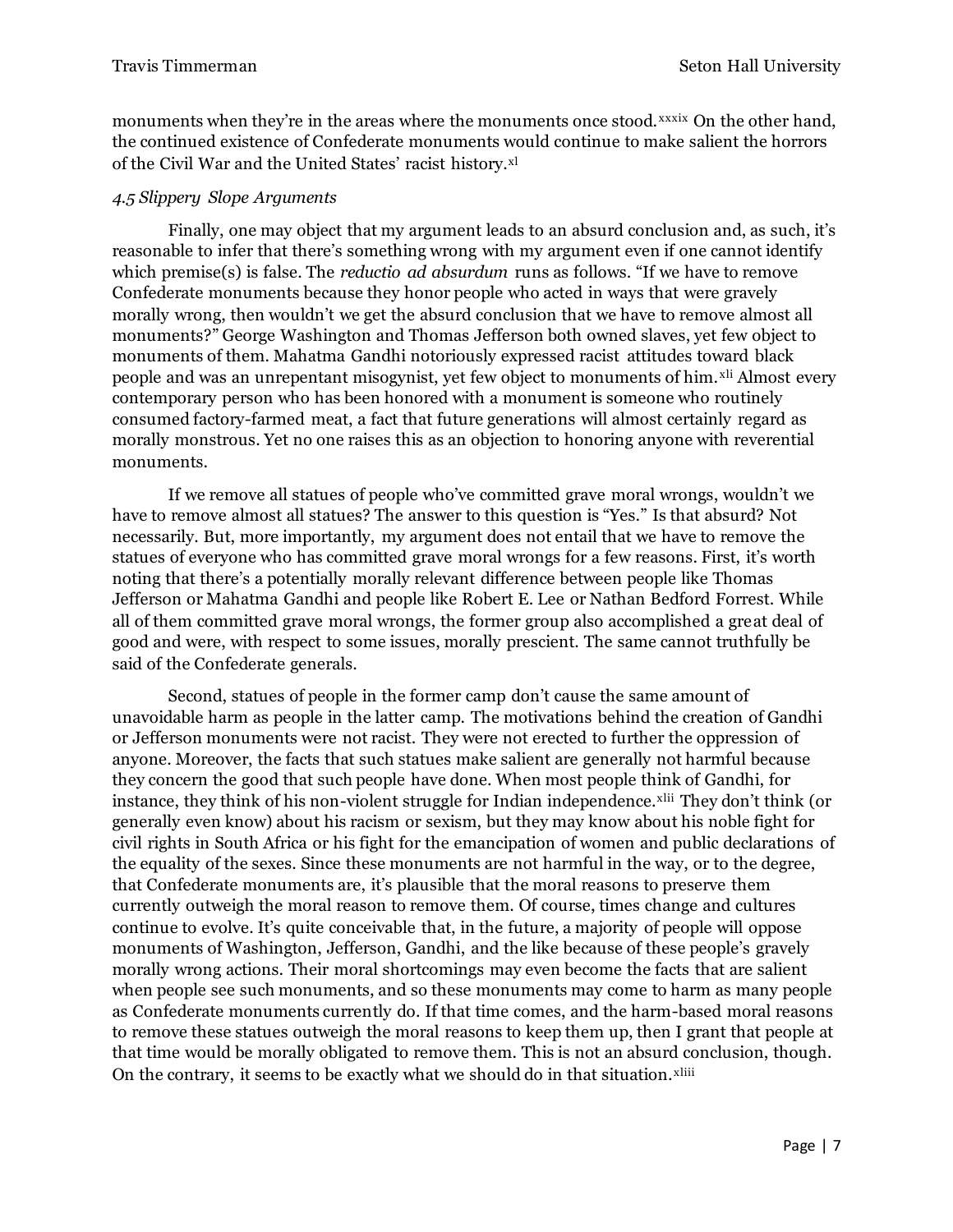monuments when they're in the areas where the monuments once stood. *xxxix* On the other hand, the continued existence of Confederate monuments would continue to make salient the horrors of the Civil War and the United States' racist history.<sup>xl</sup>

### *4.5 Slippery Slope Arguments*

Finally, one may object that my argument leads to an absurd conclusion and, as such, it's reasonable to infer that there's something wrong with my argument even if one cannot identify which premise(s) is false. The *reductio ad absurdum* runs as follows. "If we have to remove Confederate monuments because they honor people who acted in ways that were gravely morally wrong, then wouldn't we get the absurd conclusion that we have to remove almost all monuments?" George Washington and Thomas Jefferson both owned slaves, yet few object to monuments of them. Mahatma Gandhi notoriously expressed racist attitudes toward black people and was an unrepentant misogynist, yet few object to monuments of him.<sup>xli</sup> Almost every contemporary person who has been honored with a monument is someone who routinely consumed factory-farmed meat, a fact that future generations will almost certainly regard as morally monstrous. Yet no one raises this as an objection to honoring anyone with reverential monuments.

If we remove all statues of people who've committed grave moral wrongs, wouldn't we have to remove almost all statues? The answer to this question is "Yes." Is that absurd? Not necessarily. But, more importantly, my argument does not entail that we have to remove the statues of everyone who has committed grave moral wrongs for a few reasons. First, it's worth noting that there's a potentially morally relevant difference between people like Thomas Jefferson or Mahatma Gandhi and people like Robert E. Lee or Nathan Bedford Forrest. While all of them committed grave moral wrongs, the former group also accomplished a great deal of good and were, with respect to some issues, morally prescient. The same cannot truthfully be said of the Confederate generals.

Second, statues of people in the former camp don't cause the same amount of unavoidable harm as people in the latter camp. The motivations behind the creation of Gandhi or Jefferson monuments were not racist. They were not erected to further the oppression of anyone. Moreover, the facts that such statues make salient are generally not harmful because they concern the good that such people have done. When most people think of Gandhi, for instance, they think of his non-violent struggle for Indian independence.<sup>xlii</sup> They don't think (or generally even know) about his racism or sexism, but they may know about his noble fight for civil rights in South Africa or his fight for the emancipation of women and public declarations of the equality of the sexes. Since these monuments are not harmful in the way, or to the degree, that Confederate monuments are, it's plausible that the moral reasons to preserve them currently outweigh the moral reason to remove them. Of course, times change and cultures continue to evolve. It's quite conceivable that, in the future, a majority of people will oppose monuments of Washington, Jefferson, Gandhi, and the like because of these people's gravely morally wrong actions. Their moral shortcomings may even become the facts that are salient when people see such monuments, and so these monuments may come to harm as many people as Confederate monuments currently do. If that time comes, and the harm-based moral reasons to remove these statues outweigh the moral reasons to keep them up, then I grant that people at that time would be morally obligated to remove them. This is not an absurd conclusion, though. On the contrary, it seems to be exactly what we should do in that situation.<sup>xliii</sup>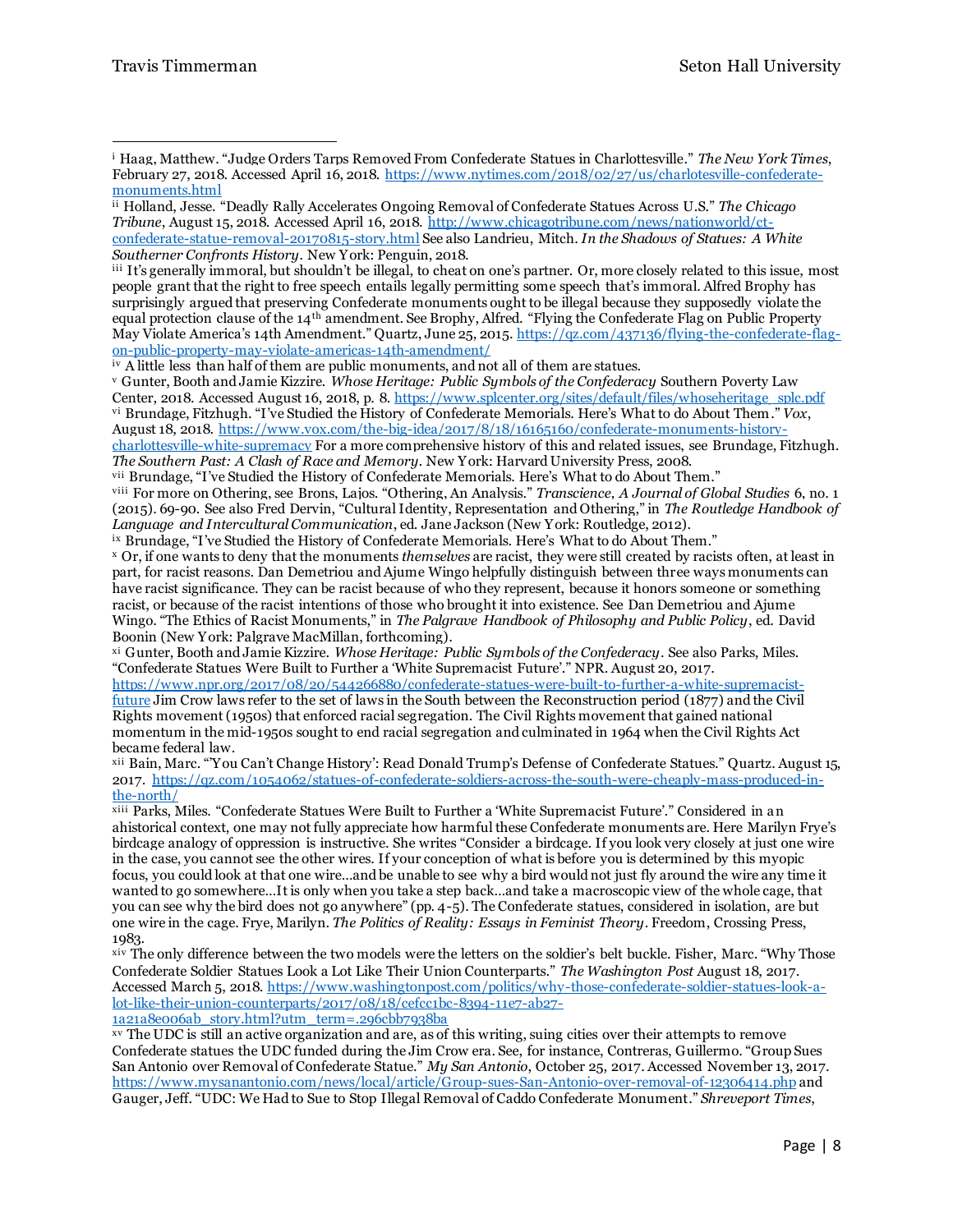iii It's generally immoral, but shouldn't be illegal, to cheat on one's partner. Or, more closely related to this issue, most people grant that the right to free speech entails legally permitting some speech that's immoral. Alfred Brophy has surprisingly argued that preserving Confederate monuments ought to be illegal because they supposedly violate the equal protection clause of the 14th amendment. See Brophy, Alfred. "Flying the Confederate Flag on Public Property May Violate America's 14th Amendment." Quartz, June 25, 2015. [https://qz.com/437136/flying-the-confederate-flag](https://qz.com/437136/flying-the-confederate-flag-on-public-property-may-violate-americas-14th-amendment/)[on-public-property-may-violate-americas-14th-amendment/](https://qz.com/437136/flying-the-confederate-flag-on-public-property-may-violate-americas-14th-amendment/)

viii For more on Othering, see Brons, Lajos. "Othering, An Analysis." *Transcience, A Journal of Global Studies* 6, no. 1 (2015). 69-90. See also Fred Dervin, "Cultural Identity, Representation and Othering," in *The Routledge Handbook of Language and Intercultural Communication*, ed. Jane Jackson (New York: Routledge, 2012).

ix Brundage, "I've Studied the History of Confederate Memorials. Here's What to do About Them."

<sup>x</sup> Or, if one wants to deny that the monuments *themselves* are racist, they were still created by racists often, at least in part, for racist reasons. Dan Demetriou and Ajume Wingo helpfully distinguish between three ways monuments can have racist significance. They can be racist because of who they represent, because it honors someone or something racist, or because of the racist intentions of those who brought it into existence. See Dan Demetriou and Ajume Wingo. "The Ethics of Racist Monuments," in *The Palgrave Handbook of Philosophy and Public Policy*, ed. David Boonin (New York: Palgrave MacMillan, forthcoming).

xi Gunter, Booth and Jamie Kizzire. *Whose Heritage: Public Symbols of the Confederacy*. See also Parks, Miles. "Confederate Statues Were Built to Further a 'White Supremacist Future'." NPR. August 20, 2017.

[https://www.npr.org/2017/08/20/544266880/confederate-statues-were-built-to-further-a-white-supremacist](https://www.npr.org/2017/08/20/544266880/confederate-statues-were-built-to-further-a-white-supremacist-future)[future](https://www.npr.org/2017/08/20/544266880/confederate-statues-were-built-to-further-a-white-supremacist-future) Jim Crow laws refer to the set of laws in the South between the Reconstruction period (1877) and the Civil Rights movement (1950s) that enforced racial segregation. The Civil Rights movement that gained national momentum in the mid-1950s sought to end racial segregation and culminated in 1964 when the Civil Rights Act became federal law.

xii Bain, Marc. "'You Can't Change History': Read Donald Trump's Defense of Confederate Statues." Quartz. August 15, 2017. [https://qz.com/1054062/statues-of-confederate-soldiers-across-the-south-were-cheaply-mass-produced-in](https://qz.com/1054062/statues-of-confederate-soldiers-across-the-south-were-cheaply-mass-produced-in-the-north/)[the-north/](https://qz.com/1054062/statues-of-confederate-soldiers-across-the-south-were-cheaply-mass-produced-in-the-north/)

xiii Parks, Miles. "Confederate Statues Were Built to Further a 'White Supremacist Future'." Considered in an ahistorical context, one may not fully appreciate how harmful these Confederate monuments are. Here Marilyn Frye's birdcage analogy of oppression is instructive. She writes "Consider a birdcage. If you look very closely at just one wire in the case, you cannot see the other wires. If your conception of what is before you is determined by this myopic focus, you could look at that one wire…and be unable to see why a bird would not just fly around the wire any time it wanted to go somewhere…It is only when you take a step back…and take a macroscopic view of the whole cage, that you can see why the bird does not go anywhere" (pp. 4-5). The Confederate statues, considered in isolation, are but one wire in the cage. Frye, Marilyn. *The Politics of Reality: Essays in Feminist Theory*. Freedom, Crossing Press, 1983.

xiv The only difference between the two models were the letters on the soldier's belt buckle. Fisher, Marc. "Why Those Confederate Soldier Statues Look a Lot Like Their Union Counterparts." *The Washington Post* August 18, 2017. Accessed March 5, 2018. [https://www.washingtonpost.com/politics/why-those-confederate-soldier-statues-look-a](https://www.washingtonpost.com/politics/why-those-confederate-soldier-statues-look-a-lot-like-their-union-counterparts/2017/08/18/cefcc1bc-8394-11e7-ab27-1a21a8e006ab_story.html?utm_term=.296cbb7938ba)[lot-like-their-union-counterparts/2017/08/18/cefcc1bc-8394-11e7-ab27-](https://www.washingtonpost.com/politics/why-those-confederate-soldier-statues-look-a-lot-like-their-union-counterparts/2017/08/18/cefcc1bc-8394-11e7-ab27-1a21a8e006ab_story.html?utm_term=.296cbb7938ba) [1a21a8e006ab\\_story.html?utm\\_term=.296cbb7938ba](https://www.washingtonpost.com/politics/why-those-confederate-soldier-statues-look-a-lot-like-their-union-counterparts/2017/08/18/cefcc1bc-8394-11e7-ab27-1a21a8e006ab_story.html?utm_term=.296cbb7938ba)

xv The UDC is still an active organization and are, as of this writing, suing cities over their attempts to remove Confederate statues the UDC funded during the Jim Crow era. See, for instance, Contreras, Guillermo. "Group Sues San Antonio over Removal of Confederate Statue." *My San Antonio*, October 25, 2017. Accessed November 13, 2017. <https://www.mysanantonio.com/news/local/article/Group-sues-San-Antonio-over-removal-of-12306414.php> and Gauger, Jeff. "UDC: We Had to Sue to Stop Illegal Removal of Caddo Confederate Monument." *Shreveport Times*,

<sup>i</sup> Haag, Matthew. "Judge Orders Tarps Removed From Confederate Statues in Charlottesville." *The New York Times*, February 27, 2018. Accessed April 16, 2018. [https://www.nytimes.com/2018/02/27/us/charlotesville-confederate](https://www.nytimes.com/2018/02/27/us/charlotesville-confederate-monuments.html)[monuments.html](https://www.nytimes.com/2018/02/27/us/charlotesville-confederate-monuments.html)  $\overline{a}$ 

ii Holland, Jesse. "Deadly Rally Accelerates Ongoing Removal of Confederate Statues Across U.S." *The Chicago Tribune*, August 15, 2018. Accessed April 16, 2018. [http://www.chicagotribune.com/news/nationworld/ct](http://www.chicagotribune.com/news/nationworld/ct-confederate-statue-removal-20170815-story.html)[confederate-statue-removal-20170815-story.html](http://www.chicagotribune.com/news/nationworld/ct-confederate-statue-removal-20170815-story.html) See also Landrieu, Mitch. *In the Shadows of Statues: A White Southerner Confronts History.* New York: Penguin, 2018.

iv A little less than half of them are public monuments, and not all of them are statues.

<sup>v</sup> Gunter, Booth and Jamie Kizzire. *Whose Heritage: Public Symbols of the Confederacy* Southern Poverty Law Center, 2018. Accessed August 16, 2018, p. 8. [https://www.splcenter.org/sites/default/files/whoseheritage\\_splc.pdf](https://www.splcenter.org/sites/default/files/whoseheritage_splc.pdf) vi Brundage, Fitzhugh. "I've Studied the History of Confederate Memorials. Here's What to do About Them." *Vox*, August 18, 2018. [https://www.vox.com/the-big-idea/2017/8/18/16165160/confederate-monuments-history](https://www.vox.com/the-big-idea/2017/8/18/16165160/confederate-monuments-history-charlottesville-white-supremacy)[charlottesville-white-supremacy](https://www.vox.com/the-big-idea/2017/8/18/16165160/confederate-monuments-history-charlottesville-white-supremacy) For a more comprehensive history of this and related issues, see Brundage, Fitzhugh.

*The Southern Past: A Clash of Race and Memory.* New York: Harvard University Press, 2008.

vii Brundage, "I've Studied the History of Confederate Memorials. Here's What to do About Them."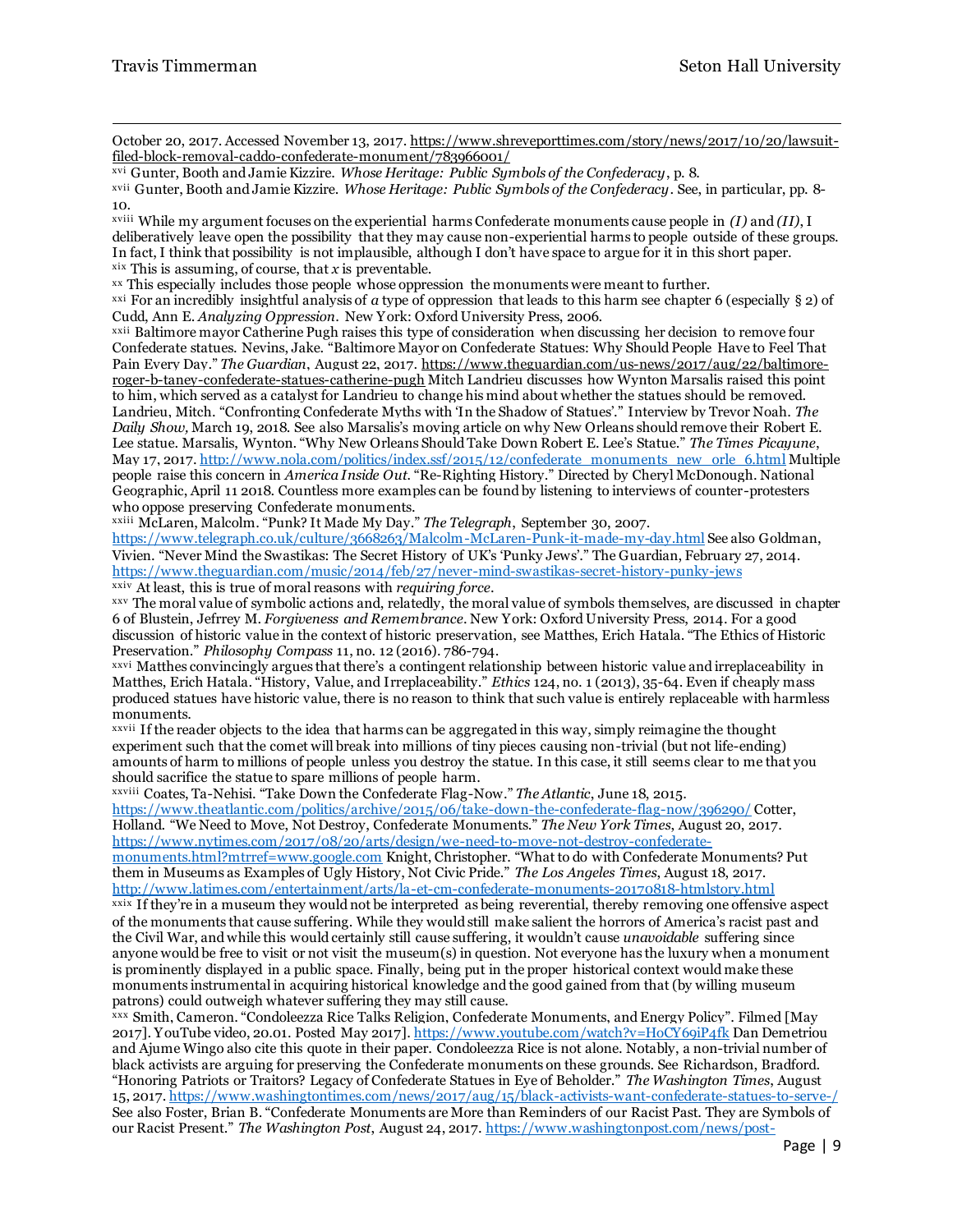$\overline{a}$ 

October 20, 2017. Accessed November 13, 2017[. https://www.shreveporttimes.com/story/news/2017/10/20/lawsuit](https://www.shreveporttimes.com/story/news/2017/10/20/lawsuit-filed-block-removal-caddo-confederate-monument/783966001/)[filed-block-removal-caddo-confederate-monument/783966001/](https://www.shreveporttimes.com/story/news/2017/10/20/lawsuit-filed-block-removal-caddo-confederate-monument/783966001/) 

xvi Gunter, Booth and Jamie Kizzire. *Whose Heritage: Public Symbols of the Confederacy*, p. 8.

xvii Gunter, Booth and Jamie Kizzire. *Whose Heritage: Public Symbols of the Confederacy*. See, in particular, pp. 8- 10.

xviii While my argument focuses on the experiential harms Confederate monuments cause people in *(I)* and *(II)*, I deliberatively leave open the possibility that they may cause non-experiential harms to people outside of these groups. In fact, I think that possibility is not implausible, although I don't have space to argue for it in this short paper. xix This is assuming, of course, that *x* is preventable.

xx This especially includes those people whose oppression the monuments were meant to further.

<sup>xxi</sup> For an incredibly insightful analysis of *a* type of oppression that leads to this harm see chapter 6 (especially  $\S$  2) of Cudd, Ann E. *Analyzing Oppression*. New York: Oxford University Press, 2006.

xxii Baltimore mayor Catherine Pugh raises this type of consideration when discussing her decision to remove four Confederate statues. Nevins, Jake. "Baltimore Mayor on Confederate Statues: Why Should People Have to Feel That Pain Every Day." *The Guardian*, August 22, 2017[. https://www.theguardian.com/us-news/2017/aug/22/baltimore](https://www.theguardian.com/us-news/2017/aug/22/baltimore-roger-b-taney-confederate-statues-catherine-pugh)[roger-b-taney-confederate-statues-catherine-pugh](https://www.theguardian.com/us-news/2017/aug/22/baltimore-roger-b-taney-confederate-statues-catherine-pugh) Mitch Landrieu discusses how Wynton Marsalis raised this point to him, which served as a catalyst for Landrieu to change his mind about whether the statues should be removed. Landrieu, Mitch. "Confronting Confederate Myths with 'In the Shadow of Statues'." Interview by Trevor Noah. *The Daily Show,* March 19, 2018. See also Marsalis's moving article on why New Orleans should remove their Robert E. Lee statue. Marsalis, Wynton. "Why New Orleans Should Take Down Robert E. Lee's Statue." *The Times Picayune*, May 17, 2017[. http://www.nola.com/politics/index.ssf/2015/12/confederate\\_monuments\\_new\\_orle\\_6.html](http://www.nola.com/politics/index.ssf/2015/12/confederate_monuments_new_orle_6.html) Multiple people raise this concern in *America Inside Out.* "Re-Righting History." Directed by Cheryl McDonough. National Geographic, April 11 2018. Countless more examples can be found by listening to interviews of counter-protesters who oppose preserving Confederate monuments.

xxiii McLaren, Malcolm. "Punk? It Made My Day." *The Telegraph*, September 30, 2007.

<https://www.telegraph.co.uk/culture/3668263/Malcolm-McLaren-Punk-it-made-my-day.html> See also Goldman, Vivien. "Never Mind the Swastikas: The Secret History of UK's 'Punky Jews'." The Guardian, February 27, 2014. <https://www.theguardian.com/music/2014/feb/27/never-mind-swastikas-secret-history-punky-jews>

xxiv At least, this is true of moral reasons with *requiring force*.

xxv The moral value of symbolic actions and, relatedly, the moral value of symbols themselves, are discussed in chapter 6 of Blustein, Jefrrey M. *Forgiveness and Remembrance*. New York: Oxford University Press, 2014. For a good discussion of historic value in the context of historic preservation, see Matthes, Erich Hatala. "The Ethics of Historic Preservation." *Philosophy Compass* 11, no. 12 (2016). 786-794.

xxvi Matthes convincingly argues that there's a contingent relationship between historic value and irreplaceability in Matthes, Erich Hatala. "History, Value, and Irreplaceability." *Ethics* 124, no. 1 (2013), 35-64. Even if cheaply mass produced statues have historic value, there is no reason to think that such value is entirely replaceable with harmless monuments.

xxvii If the reader objects to the idea that harms can be aggregated in this way, simply reimagine the thought experiment such that the comet will break into millions of tiny pieces causing non-trivial (but not life-ending) amounts of harm to millions of people unless you destroy the statue. In this case, it still seems clear to me that you should sacrifice the statue to spare millions of people harm.

xxviii Coates, Ta-Nehisi. "Take Down the Confederate Flag-Now." *The Atlantic*, June 18, 2015. <https://www.theatlantic.com/politics/archive/2015/06/take-down-the-confederate-flag-now/396290/> Cotter, Holland. "We Need to Move, Not Destroy, Confederate Monuments." *The New York Times*, August 20, 2017. [https://www.nytimes.com/2017/08/20/arts/design/we-need-to-move-not-destroy-confederate-](https://www.nytimes.com/2017/08/20/arts/design/we-need-to-move-not-destroy-confederate-monuments.html?mtrref=www.google.com)

[monuments.html?mtrref=www.google.com](https://www.nytimes.com/2017/08/20/arts/design/we-need-to-move-not-destroy-confederate-monuments.html?mtrref=www.google.com) Knight, Christopher. "What to do with Confederate Monuments? Put them in Museums as Examples of Ugly History, Not Civic Pride." *The Los Angeles Times*, August 18, 2017. <http://www.latimes.com/entertainment/arts/la-et-cm-confederate-monuments-20170818-htmlstory.html>

xxix If they're in a museum they would not be interpreted as being reverential, thereby removing one offensive aspect of the monuments that cause suffering. While they would still make salient the horrors of America's racist past and the Civil War, and while this would certainly still cause suffering, it wouldn't cause *unavoidable* suffering since anyone would be free to visit or not visit the museum(s) in question. Not everyone has the luxury when a monument is prominently displayed in a public space. Finally, being put in the proper historical context would make these monuments instrumental in acquiring historical knowledge and the good gained from that (by willing museum patrons) could outweigh whatever suffering they may still cause.

xxx Smith, Cameron. "Condoleezza Rice Talks Religion, Confederate Monuments, and Energy Policy". Filmed [May 2017]. YouTube video, 20.01. Posted May 2017][. https://www.youtube.com/watch?v=HoCY69iP4fk](https://www.youtube.com/watch?v=HoCY69iP4fk) Dan Demetriou and Ajume Wingo also cite this quote in their paper. Condoleezza Rice is not alone. Notably, a non-trivial number of black activists are arguing for preserving the Confederate monuments on these grounds. See Richardson, Bradford. "Honoring Patriots or Traitors? Legacy of Confederate Statues in Eye of Beholder." *The Washington Times*, August 15, 2017.<https://www.washingtontimes.com/news/2017/aug/15/black-activists-want-confederate-statues-to-serve-/> See also Foster, Brian B. "Confederate Monuments are More than Reminders of our Racist Past. They are Symbols of our Racist Present." *The Washington Post*, August 24, 2017. [https://www.washingtonpost.com/news/post-](https://www.washingtonpost.com/news/post-nation/wp/2017/08/24/confederate-monuments-are-more-than-reminders-of-our-racist-past-they-are-symbols-of-our-racist-present/?noredirect=on&utm_term=.671ff7bce840)